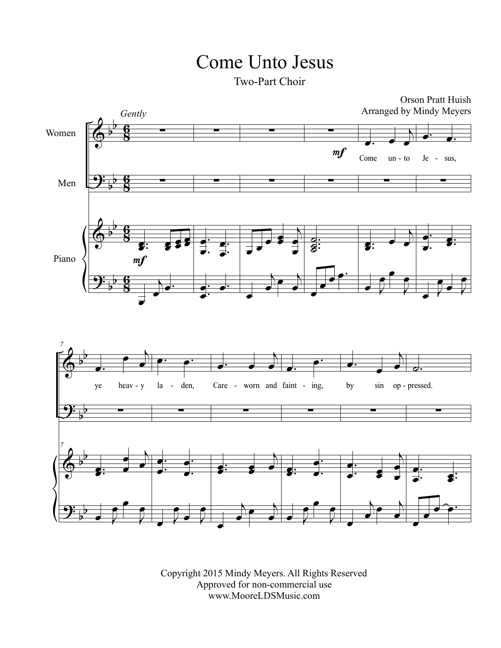## Come Unto Jesus

Two-Part Choir



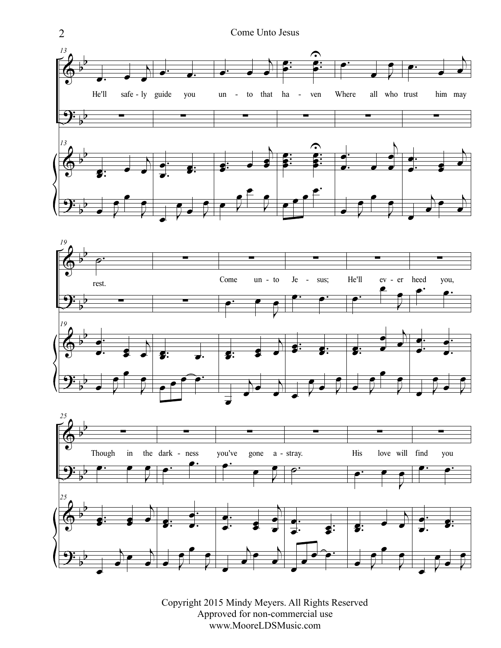



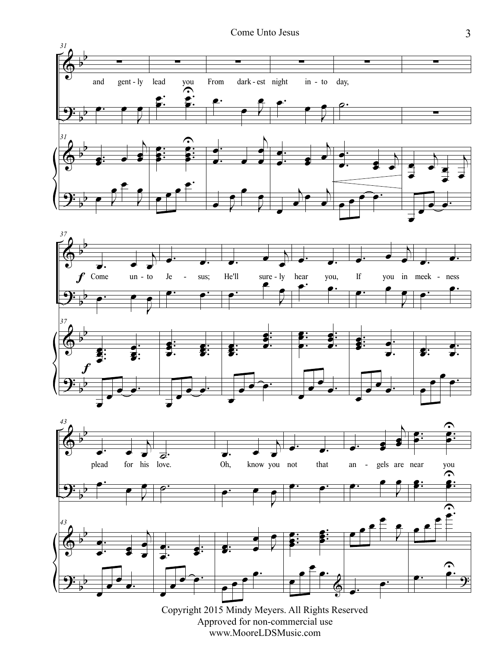

Copyright 2015 Mindy Meyers. All Rights Reserved Approved for non-commercial use www.MooreLDSMusic.com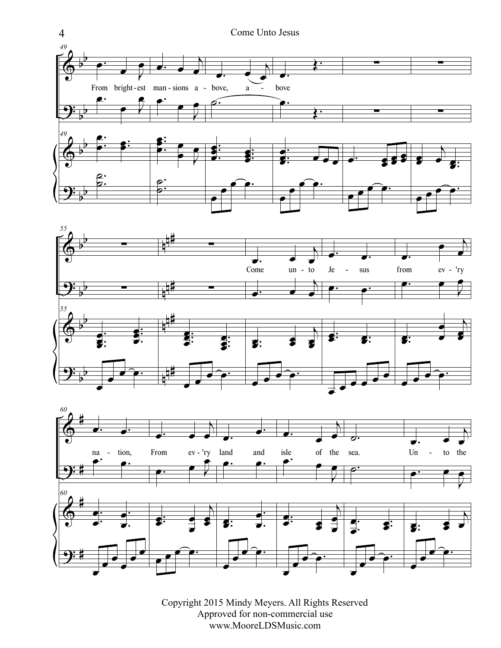